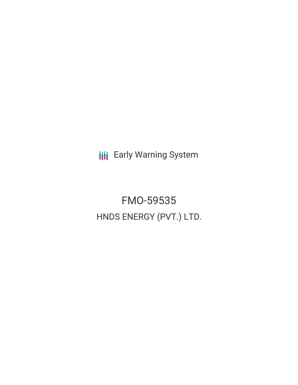**III** Early Warning System

FMO-59535 HNDS ENERGY (PVT.) LTD.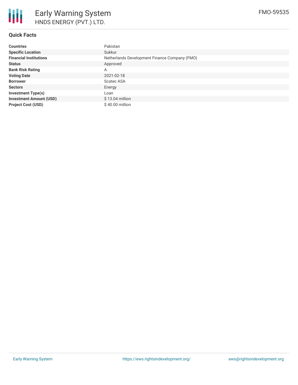

# **Quick Facts**

| <b>Countries</b>               | Pakistan                                      |  |  |  |  |
|--------------------------------|-----------------------------------------------|--|--|--|--|
| <b>Specific Location</b>       | Sukkur                                        |  |  |  |  |
| <b>Financial Institutions</b>  | Netherlands Development Finance Company (FMO) |  |  |  |  |
| <b>Status</b>                  | Approved                                      |  |  |  |  |
| <b>Bank Risk Rating</b>        | A                                             |  |  |  |  |
| <b>Voting Date</b>             | 2021-02-18                                    |  |  |  |  |
| <b>Borrower</b>                | <b>Scatec ASA</b>                             |  |  |  |  |
| <b>Sectors</b>                 | Energy                                        |  |  |  |  |
| <b>Investment Type(s)</b>      | Loan                                          |  |  |  |  |
| <b>Investment Amount (USD)</b> | $$13.04$ million                              |  |  |  |  |
| <b>Project Cost (USD)</b>      | \$40.00 million                               |  |  |  |  |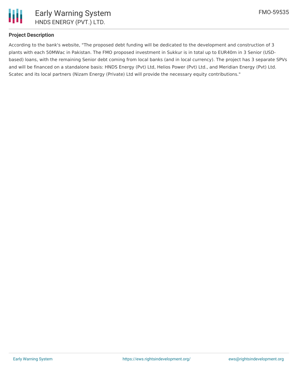

## **Project Description**

According to the bank's website, "The proposed debt funding will be dedicated to the development and construction of 3 plants with each 50MWac in Pakistan. The FMO proposed investment in Sukkur is in total up to EUR40m in 3 Senior (USDbased) loans, with the remaining Senior debt coming from local banks (and in local currency). The project has 3 separate SPVs and will be financed on a standalone basis: HNDS Energy (Pvt) Ltd, Helios Power (Pvt) Ltd., and Meridian Energy (Pvt) Ltd. Scatec and its local partners (Nizam Energy (Private) Ltd will provide the necessary equity contributions."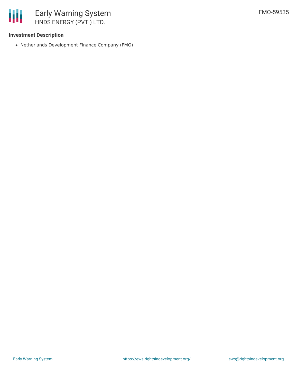

### **Investment Description**

Netherlands Development Finance Company (FMO)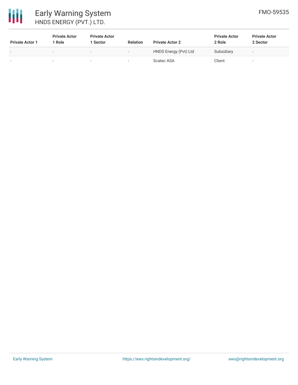

# Early Warning System HNDS ENERGY (PVT.) LTD.

| <b>Private Actor 1</b>   | <b>Private Actor</b><br>1 Role | <b>Private Actor</b><br>1 Sector | <b>Relation</b> | <b>Private Actor 2</b> | <b>Private Actor</b><br>2 Role | <b>Private Actor</b><br>2 Sector |  |
|--------------------------|--------------------------------|----------------------------------|-----------------|------------------------|--------------------------------|----------------------------------|--|
| $\sim$                   | $\sim$                         | $\overline{\phantom{a}}$         |                 | HNDS Energy (Pvt) Ltd  | Subsidiary                     | $\overline{\phantom{a}}$         |  |
| $\overline{\phantom{0}}$ |                                |                                  |                 | Scatec ASA             | Client                         |                                  |  |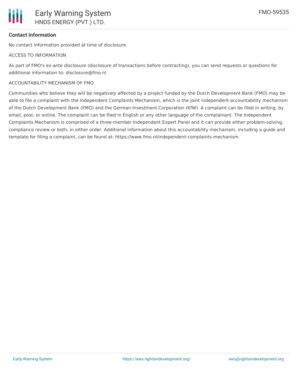

### **Contact Information**

No contact information provided at time of disclosure.

#### ACCESS TO INFORMATION

As part of FMO's ex-ante disclosure (disclosure of transactions before contracting), you can send requests or questions for additional information to: disclosure@fmo.nl

#### ACCOUNTABILITY MECHANISM OF FMO

Communities who believe they will be negatively affected by a project funded by the Dutch Development Bank (FMO) may be able to file a complaint with the Independent Complaints Mechanism, which is the joint independent accountability mechanism of the Dutch Development Bank (FMO) and the German Investment Corporation (KfW). A complaint can be filed in writing, by email, post, or online. The complaint can be filed in English or any other language of the complainant. The Independent Complaints Mechanism is comprised of a three-member Independent Expert Panel and it can provide either problem-solving, compliance review or both, in either order. Additional information about this accountability mechanism, including a guide and template for filing a complaint, can be found at: https://www.fmo.nl/independent-complaints-mechanism